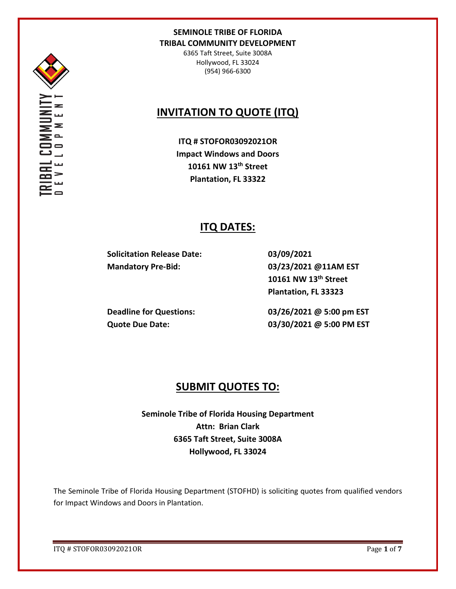

6365 Taft Street, Suite 3008A Hollywood, FL 33024 (954) 966-6300

# **INVITATION TO QUOTE (ITQ)**

**ITQ # STOFOR03092021OR Impact Windows and Doors 10161 NW 13th Street Plantation, FL 33322**

# **ITQ DATES:**

**Solicitation Release Date: 03/09/2021 Mandatory Pre-Bid: 03/23/2021 @11AM EST**

**10161 NW 13th Street Plantation, FL 33323**

**Deadline for Questions: 03/26/2021 @ 5:00 pm EST Quote Due Date: 03/30/2021 @ 5:00 PM EST**

# **SUBMIT QUOTES TO:**

**Seminole Tribe of Florida Housing Department Attn: Brian Clark 6365 Taft Street, Suite 3008A Hollywood, FL 33024**

The Seminole Tribe of Florida Housing Department (STOFHD) is soliciting quotes from qualified vendors for Impact Windows and Doors in Plantation.

ITQ # STOFOR03092021OR Page **1** of **7**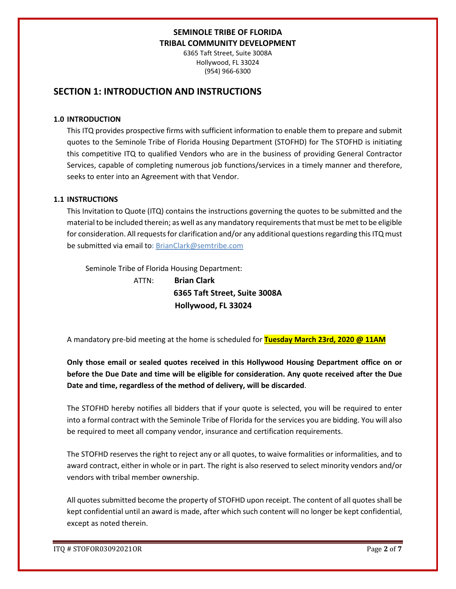6365 Taft Street, Suite 3008A Hollywood, FL 33024 (954) 966-6300

# **SECTION 1: INTRODUCTION AND INSTRUCTIONS**

#### **1.0 INTRODUCTION**

This ITQ provides prospective firms with sufficient information to enable them to prepare and submit quotes to the Seminole Tribe of Florida Housing Department (STOFHD) for The STOFHD is initiating this competitive ITQ to qualified Vendors who are in the business of providing General Contractor Services, capable of completing numerous job functions/services in a timely manner and therefore, seeks to enter into an Agreement with that Vendor.

## **1.1 INSTRUCTIONS**

This Invitation to Quote (ITQ) contains the instructions governing the quotes to be submitted and the material to be included therein; as well as any mandatory requirements that must be met to be eligible for consideration. All requests for clarification and/or any additional questions regarding this ITQ must be submitted via email to: BrianClark@semtribe.com

Seminole Tribe of Florida Housing Department:

 ATTN: **Brian Clark 6365 Taft Street, Suite 3008A Hollywood, FL 33024**

A mandatory pre-bid meeting at the home is scheduled for **Tuesday March 23rd, 2020 @ 11AM**

**Only those email or sealed quotes received in this Hollywood Housing Department office on or before the Due Date and time will be eligible for consideration. Any quote received after the Due Date and time, regardless of the method of delivery, will be discarded**.

The STOFHD hereby notifies all bidders that if your quote is selected, you will be required to enter into a formal contract with the Seminole Tribe of Florida for the services you are bidding. You will also be required to meet all company vendor, insurance and certification requirements.

The STOFHD reserves the right to reject any or all quotes, to waive formalities or informalities, and to award contract, either in whole or in part. The right is also reserved to select minority vendors and/or vendors with tribal member ownership.

All quotes submitted become the property of STOFHD upon receipt. The content of all quotes shall be kept confidential until an award is made, after which such content will no longer be kept confidential, except as noted therein.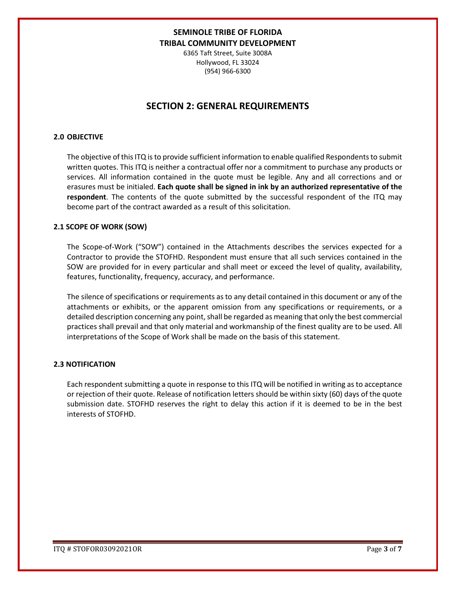6365 Taft Street, Suite 3008A Hollywood, FL 33024 (954) 966-6300

# **SECTION 2: GENERAL REQUIREMENTS**

#### **2.0 OBJECTIVE**

The objective of this ITQ is to provide sufficient information to enable qualified Respondents to submit written quotes. This ITQ is neither a contractual offer nor a commitment to purchase any products or services. All information contained in the quote must be legible. Any and all corrections and or erasures must be initialed. **Each quote shall be signed in ink by an authorized representative of the respondent**. The contents of the quote submitted by the successful respondent of the ITQ may become part of the contract awarded as a result of this solicitation.

#### **2.1 SCOPE OF WORK (SOW)**

The Scope-of-Work ("SOW") contained in the Attachments describes the services expected for a Contractor to provide the STOFHD. Respondent must ensure that all such services contained in the SOW are provided for in every particular and shall meet or exceed the level of quality, availability, features, functionality, frequency, accuracy, and performance.

The silence of specifications or requirements as to any detail contained in this document or any of the attachments or exhibits, or the apparent omission from any specifications or requirements, or a detailed description concerning any point, shall be regarded as meaning that only the best commercial practices shall prevail and that only material and workmanship of the finest quality are to be used. All interpretations of the Scope of Work shall be made on the basis of this statement.

#### **2.3 NOTIFICATION**

Each respondent submitting a quote in response to this ITQ will be notified in writing as to acceptance or rejection of their quote. Release of notification letters should be within sixty (60) days of the quote submission date. STOFHD reserves the right to delay this action if it is deemed to be in the best interests of STOFHD.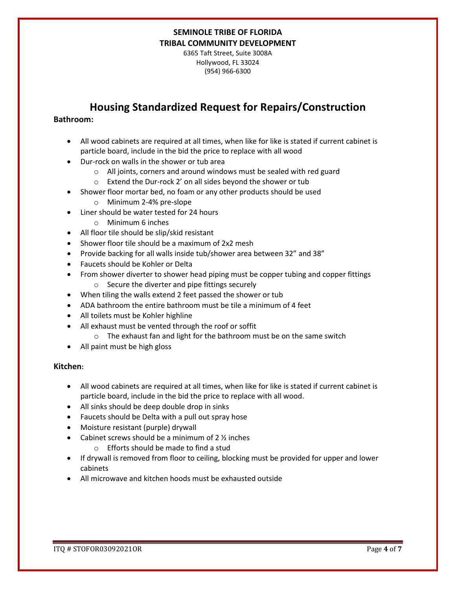6365 Taft Street, Suite 3008A Hollywood, FL 33024 (954) 966-6300

# **Housing Standardized Request for Repairs/Construction**

## **Bathroom:**

- All wood cabinets are required at all times, when like for like is stated if current cabinet is particle board, include in the bid the price to replace with all wood
- Dur-rock on walls in the shower or tub area
	- o All joints, corners and around windows must be sealed with red guard
	- o Extend the Dur-rock 2' on all sides beyond the shower or tub
- Shower floor mortar bed, no foam or any other products should be used
	- o Minimum 2-4% pre-slope
- Liner should be water tested for 24 hours
	- o Minimum 6 inches
- All floor tile should be slip/skid resistant
- Shower floor tile should be a maximum of 2x2 mesh
- Provide backing for all walls inside tub/shower area between 32" and 38"
- Faucets should be Kohler or Delta
- From shower diverter to shower head piping must be copper tubing and copper fittings
	- o Secure the diverter and pipe fittings securely
- When tiling the walls extend 2 feet passed the shower or tub
- ADA bathroom the entire bathroom must be tile a minimum of 4 feet
- All toilets must be Kohler highline
- All exhaust must be vented through the roof or soffit
	- o The exhaust fan and light for the bathroom must be on the same switch
- All paint must be high gloss

## **Kitchen:**

- All wood cabinets are required at all times, when like for like is stated if current cabinet is particle board, include in the bid the price to replace with all wood.
- All sinks should be deep double drop in sinks
- Faucets should be Delta with a pull out spray hose
- Moisture resistant (purple) drywall
- Cabinet screws should be a minimum of  $2 \frac{1}{2}$  inches
	- o Efforts should be made to find a stud
- If drywall is removed from floor to ceiling, blocking must be provided for upper and lower cabinets
- All microwave and kitchen hoods must be exhausted outside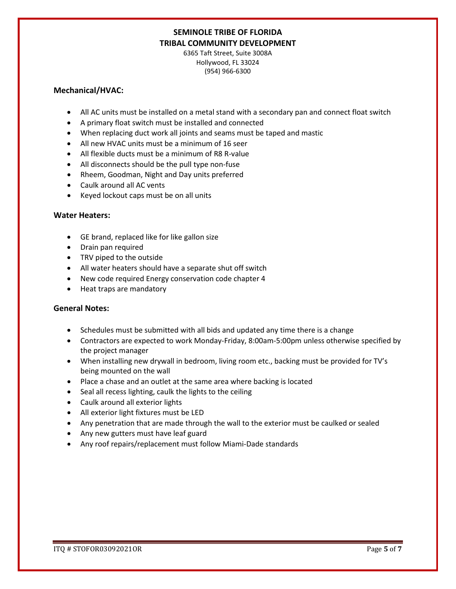6365 Taft Street, Suite 3008A Hollywood, FL 33024 (954) 966-6300

#### **Mechanical/HVAC:**

- All AC units must be installed on a metal stand with a secondary pan and connect float switch
- A primary float switch must be installed and connected
- When replacing duct work all joints and seams must be taped and mastic
- All new HVAC units must be a minimum of 16 seer
- All flexible ducts must be a minimum of R8 R-value
- All disconnects should be the pull type non-fuse
- Rheem, Goodman, Night and Day units preferred
- Caulk around all AC vents
- Keyed lockout caps must be on all units

## **Water Heaters:**

- GE brand, replaced like for like gallon size
- Drain pan required
- TRV piped to the outside
- All water heaters should have a separate shut off switch
- New code required Energy conservation code chapter 4
- Heat traps are mandatory

## **General Notes:**

- Schedules must be submitted with all bids and updated any time there is a change
- Contractors are expected to work Monday-Friday, 8:00am-5:00pm unless otherwise specified by the project manager
- When installing new drywall in bedroom, living room etc., backing must be provided for TV's being mounted on the wall
- Place a chase and an outlet at the same area where backing is located
- Seal all recess lighting, caulk the lights to the ceiling
- Caulk around all exterior lights
- All exterior light fixtures must be LED
- Any penetration that are made through the wall to the exterior must be caulked or sealed
- Any new gutters must have leaf guard
- Any roof repairs/replacement must follow Miami-Dade standards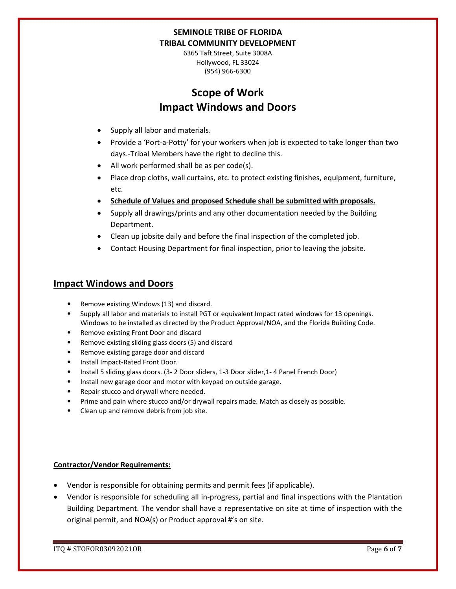6365 Taft Street, Suite 3008A Hollywood, FL 33024 (954) 966-6300

# **Scope of Work Impact Windows and Doors**

- Supply all labor and materials.
- Provide a 'Port-a-Potty' for your workers when job is expected to take longer than two days.-Tribal Members have the right to decline this.
- All work performed shall be as per code(s).
- Place drop cloths, wall curtains, etc. to protect existing finishes, equipment, furniture, etc.
- **Schedule of Values and proposed Schedule shall be submitted with proposals.**
- Supply all drawings/prints and any other documentation needed by the Building Department.
- Clean up jobsite daily and before the final inspection of the completed job.
- Contact Housing Department for final inspection, prior to leaving the jobsite.

# **Impact Windows and Doors**

- Remove existing Windows (13) and discard.
- Supply all labor and materials to install PGT or equivalent Impact rated windows for 13 openings. Windows to be installed as directed by the Product Approval/NOA, and the Florida Building Code.
- Remove existing Front Door and discard
- Remove existing sliding glass doors (5) and discard
- Remove existing garage door and discard
- Install Impact-Rated Front Door.
- Install 5 sliding glass doors. (3- 2 Door sliders, 1-3 Door slider,1- 4 Panel French Door)
- Install new garage door and motor with keypad on outside garage.
- Repair stucco and drywall where needed.
- Prime and pain where stucco and/or drywall repairs made. Match as closely as possible.
- Clean up and remove debris from job site.

## **Contractor/Vendor Requirements:**

- Vendor is responsible for obtaining permits and permit fees (if applicable).
- Vendor is responsible for scheduling all in-progress, partial and final inspections with the Plantation Building Department. The vendor shall have a representative on site at time of inspection with the original permit, and NOA(s) or Product approval #'s on site.